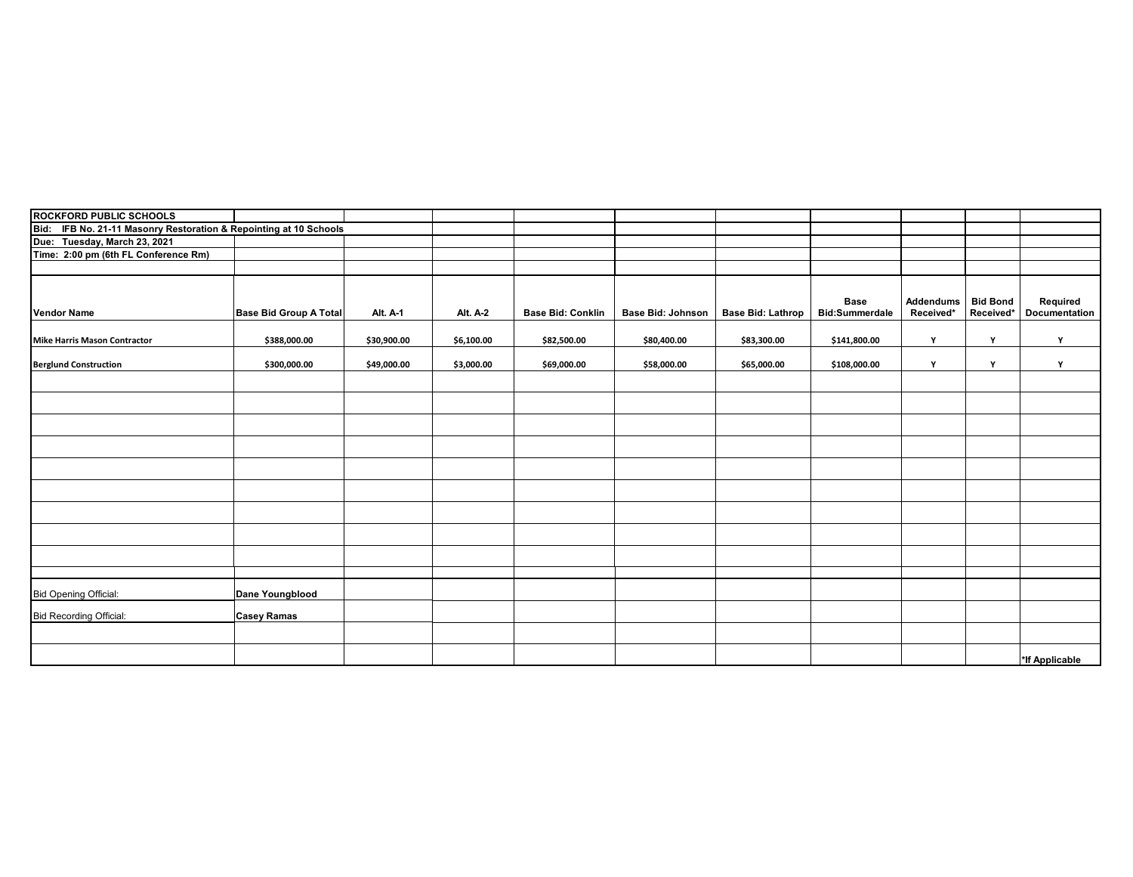| <b>ROCKFORD PUBLIC SCHOOLS</b>                                       |                               |             |                 |                          |                          |                          |                       |           |                 |                |
|----------------------------------------------------------------------|-------------------------------|-------------|-----------------|--------------------------|--------------------------|--------------------------|-----------------------|-----------|-----------------|----------------|
| Bid: IFB No. 21-11 Masonry Restoration & Repointing at 10 Schools    |                               |             |                 |                          |                          |                          |                       |           |                 |                |
| Due: Tuesday, March 23, 2021<br>Time: 2:00 pm (6th FL Conference Rm) |                               |             |                 |                          |                          |                          |                       |           |                 |                |
|                                                                      |                               |             |                 |                          |                          |                          |                       |           |                 |                |
|                                                                      |                               |             |                 |                          |                          |                          |                       |           |                 |                |
|                                                                      |                               |             |                 |                          |                          |                          |                       |           |                 |                |
|                                                                      |                               |             |                 |                          |                          |                          | <b>Base</b>           | Addendums | <b>Bid Bond</b> | Required       |
| <b>Vendor Name</b>                                                   | <b>Base Bid Group A Total</b> | Alt. A-1    | <b>Alt. A-2</b> | <b>Base Bid: Conklin</b> | <b>Base Bid: Johnson</b> | <b>Base Bid: Lathrop</b> | <b>Bid:Summerdale</b> | Received* | Received*       | Documentation  |
|                                                                      |                               |             |                 |                          |                          |                          |                       |           |                 |                |
| <b>Mike Harris Mason Contractor</b>                                  | \$388,000.00                  | \$30,900.00 | \$6,100.00      | \$82,500.00              | \$80,400.00              | \$83,300.00              | \$141,800.00          | Y         | Y               | Y              |
| <b>Berglund Construction</b>                                         | \$300,000.00                  | \$49,000.00 | \$3,000.00      | \$69,000.00              | \$58,000.00              | \$65,000.00              | \$108,000.00          | Υ         | Y               | Y              |
|                                                                      |                               |             |                 |                          |                          |                          |                       |           |                 |                |
|                                                                      |                               |             |                 |                          |                          |                          |                       |           |                 |                |
|                                                                      |                               |             |                 |                          |                          |                          |                       |           |                 |                |
|                                                                      |                               |             |                 |                          |                          |                          |                       |           |                 |                |
|                                                                      |                               |             |                 |                          |                          |                          |                       |           |                 |                |
|                                                                      |                               |             |                 |                          |                          |                          |                       |           |                 |                |
|                                                                      |                               |             |                 |                          |                          |                          |                       |           |                 |                |
|                                                                      |                               |             |                 |                          |                          |                          |                       |           |                 |                |
|                                                                      |                               |             |                 |                          |                          |                          |                       |           |                 |                |
|                                                                      |                               |             |                 |                          |                          |                          |                       |           |                 |                |
|                                                                      |                               |             |                 |                          |                          |                          |                       |           |                 |                |
|                                                                      |                               |             |                 |                          |                          |                          |                       |           |                 |                |
|                                                                      |                               |             |                 |                          |                          |                          |                       |           |                 |                |
|                                                                      |                               |             |                 |                          |                          |                          |                       |           |                 |                |
|                                                                      |                               |             |                 |                          |                          |                          |                       |           |                 |                |
| <b>Bid Opening Official:</b>                                         | Dane Youngblood               |             |                 |                          |                          |                          |                       |           |                 |                |
| <b>Bid Recording Official:</b>                                       | <b>Casey Ramas</b>            |             |                 |                          |                          |                          |                       |           |                 |                |
|                                                                      |                               |             |                 |                          |                          |                          |                       |           |                 |                |
|                                                                      |                               |             |                 |                          |                          |                          |                       |           |                 |                |
|                                                                      |                               |             |                 |                          |                          |                          |                       |           |                 | *If Applicable |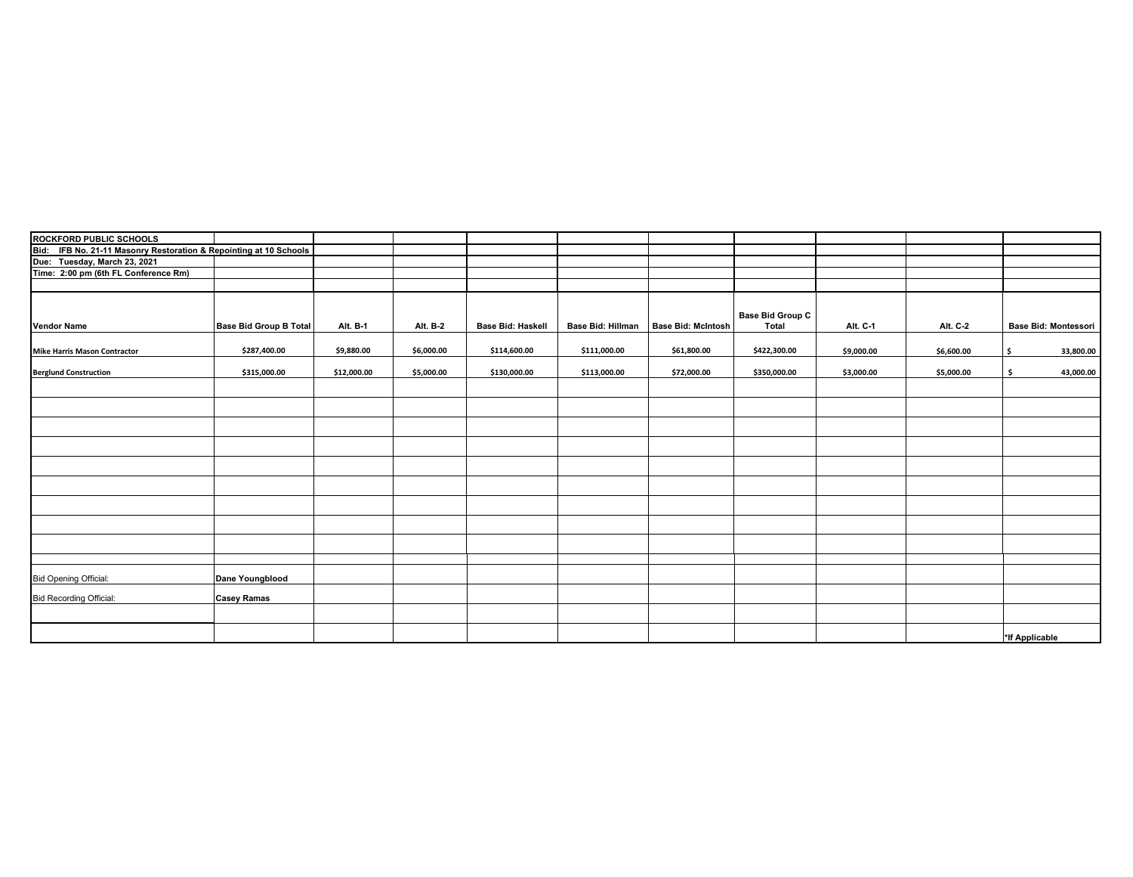| ROCKFORD PUBLIC SCHOOLS<br>Bid: IFB No. 21-11 Masonry Restoration & Repointing at 10 Schools<br>Due: Tuesday, March 23, 2021<br>Time: 2:00 pm (6th FL Conference Rm) |                               |             |            |                          |                          |                           |                                         |            |            |                |                             |
|----------------------------------------------------------------------------------------------------------------------------------------------------------------------|-------------------------------|-------------|------------|--------------------------|--------------------------|---------------------------|-----------------------------------------|------------|------------|----------------|-----------------------------|
|                                                                                                                                                                      |                               |             |            |                          |                          |                           |                                         |            |            |                |                             |
|                                                                                                                                                                      |                               |             |            |                          |                          |                           |                                         |            |            |                |                             |
|                                                                                                                                                                      |                               |             |            |                          |                          |                           |                                         |            |            |                |                             |
|                                                                                                                                                                      |                               |             |            |                          |                          |                           |                                         |            |            |                |                             |
| <b>Vendor Name</b>                                                                                                                                                   | <b>Base Bid Group B Total</b> | Alt. B-1    | Alt. B-2   | <b>Base Bid: Haskell</b> | <b>Base Bid: Hillman</b> | <b>Base Bid: McIntosh</b> | <b>Base Bid Group C</b><br><b>Total</b> | Alt. C-1   | Alt. C-2   |                | <b>Base Bid: Montessori</b> |
| <b>Mike Harris Mason Contractor</b>                                                                                                                                  | \$287,400.00                  | \$9,880.00  | \$6,000.00 | \$114,600.00             | \$111,000.00             | \$61,800.00               | \$422,300.00                            | \$9,000.00 | \$6,600.00 | \$             | 33,800.00                   |
| <b>Berglund Construction</b>                                                                                                                                         | \$315,000.00                  | \$12,000.00 | \$5,000.00 | \$130,000.00             | \$113,000.00             | \$72,000.00               | \$350,000.00                            | \$3,000.00 | \$5,000.00 | \$             | 43,000.00                   |
|                                                                                                                                                                      |                               |             |            |                          |                          |                           |                                         |            |            |                |                             |
|                                                                                                                                                                      |                               |             |            |                          |                          |                           |                                         |            |            |                |                             |
|                                                                                                                                                                      |                               |             |            |                          |                          |                           |                                         |            |            |                |                             |
|                                                                                                                                                                      |                               |             |            |                          |                          |                           |                                         |            |            |                |                             |
|                                                                                                                                                                      |                               |             |            |                          |                          |                           |                                         |            |            |                |                             |
|                                                                                                                                                                      |                               |             |            |                          |                          |                           |                                         |            |            |                |                             |
|                                                                                                                                                                      |                               |             |            |                          |                          |                           |                                         |            |            |                |                             |
|                                                                                                                                                                      |                               |             |            |                          |                          |                           |                                         |            |            |                |                             |
|                                                                                                                                                                      |                               |             |            |                          |                          |                           |                                         |            |            |                |                             |
| <b>Bid Opening Official:</b>                                                                                                                                         | Dane Youngblood               |             |            |                          |                          |                           |                                         |            |            |                |                             |
| <b>Bid Recording Official:</b>                                                                                                                                       | <b>Casey Ramas</b>            |             |            |                          |                          |                           |                                         |            |            |                |                             |
|                                                                                                                                                                      |                               |             |            |                          |                          |                           |                                         |            |            |                |                             |
|                                                                                                                                                                      |                               |             |            |                          |                          |                           |                                         |            |            | *If Applicable |                             |